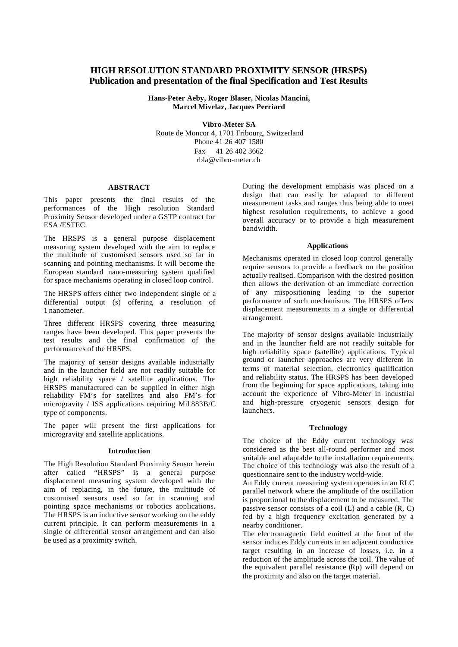### **HIGH RESOLUTION STANDARD PROXIMITY SENSOR (HRSPS) Publication and presentation of the final Specification and Test Results**

**Hans-Peter Aeby, Roger Blaser, Nicolas Mancini, Marcel Mivelaz, Jacques Perriard**

**Vibro-Meter SA** Route de Moncor 4, 1701 Fribourg, Switzerland Phone 41 26 407 1580 Fax 41 26 402 3662 rbla@vibro-meter.ch

#### **ABSTRACT**

This paper presents the final results of the performances of the High resolution Standard Proximity Sensor developed under a GSTP contract for ESA /ESTEC.

The HRSPS is a general purpose displacement measuring system developed with the aim to replace the multitude of customised sensors used so far in scanning and pointing mechanisms. It will become the European standard nano-measuring system qualified for space mechanisms operating in closed loop control.

The HRSPS offers either two independent single or a differential output (s) offering a resolution of 1 nanometer.

Three different HRSPS covering three measuring ranges have been developed. This paper presents the test results and the final confirmation of the performances of the HRSPS.

The majority of sensor designs available industrially and in the launcher field are not readily suitable for high reliability space / satellite applications. The HRSPS manufactured can be supplied in either high reliability FM's for satellites and also FM's for microgravity / ISS applications requiring Mil 883B/C type of components.

The paper will present the first applications for microgravity and satellite applications.

#### **Introduction**

The High Resolution Standard Proximity Sensor herein after called "HRSPS" is a general purpose displacement measuring system developed with the aim of replacing, in the future, the multitude of customised sensors used so far in scanning and pointing space mechanisms or robotics applications. The HRSPS is an inductive sensor working on the eddy current principle. It can perform measurements in a single or differential sensor arrangement and can also be used as a proximity switch.

During the development emphasis was placed on a design that can easily be adapted to different measurement tasks and ranges thus being able to meet highest resolution requirements, to achieve a good overall accuracy or to provide a high measurement bandwidth.

#### **Applications**

Mechanisms operated in closed loop control generally require sensors to provide a feedback on the position actually realised. Comparison with the desired position then allows the derivation of an immediate correction of any mispositioning leading to the superior performance of such mechanisms. The HRSPS offers displacement measurements in a single or differential arrangement.

The majority of sensor designs available industrially and in the launcher field are not readily suitable for high reliability space (satellite) applications. Typical ground or launcher approaches are very different in terms of material selection, electronics qualification and reliability status. The HRSPS has been developed from the beginning for space applications, taking into account the experience of Vibro-Meter in industrial and high-pressure cryogenic sensors design for launchers.

#### **Technology**

The choice of the Eddy current technology was considered as the best all-round performer and most suitable and adaptable to the installation requirements. The choice of this technology was also the result of a questionnaire sent to the industry world-wide.

An Eddy current measuring system operates in an RLC parallel network where the amplitude of the oscillation is proportional to the displacement to be measured. The passive sensor consists of a coil  $(L)$  and a cable  $(R, C)$ fed by a high frequency excitation generated by a nearby conditioner.

The electromagnetic field emitted at the front of the sensor induces Eddy currents in an adjacent conductive target resulting in an increase of losses, i.e. in a reduction of the amplitude across the coil. The value of the equivalent parallel resistance (Rp) will depend on the proximity and also on the target material.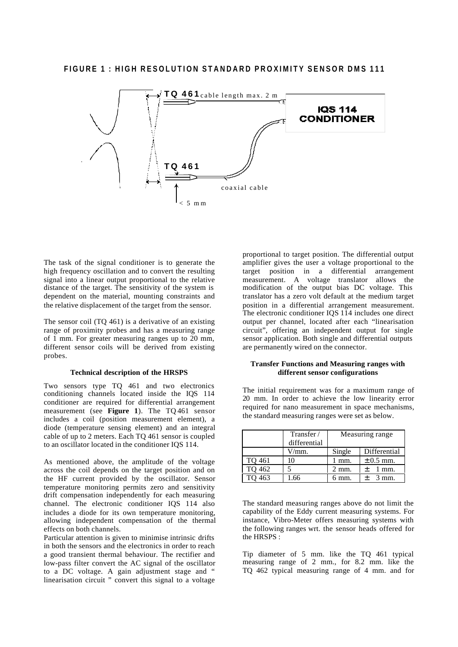

The task of the signal conditioner is to generate the high frequency oscillation and to convert the resulting signal into a linear output proportional to the relative distance of the target. The sensitivity of the system is dependent on the material, mounting constraints and the relative displacement of the target from the sensor.

The sensor coil (TQ 461) is a derivative of an existing range of proximity probes and has a measuring range of 1 mm. For greater measuring ranges up to 20 mm, different sensor coils will be derived from existing probes.

#### **Technical description of the HRSPS**

Two sensors type TQ 461 and two electronics conditioning channels located inside the IQS 114 conditioner are required for differential arrangement measurement (see **Figure 1**). The TQ 461 sensor includes a coil (position measurement element), a diode (temperature sensing element) and an integral cable of up to 2 meters. Each TQ 461 sensor is coupled to an oscillator located in the conditioner IQS 114.

As mentioned above, the amplitude of the voltage across the coil depends on the target position and on the HF current provided by the oscillator. Sensor temperature monitoring permits zero and sensitivity drift compensation independently for each measuring channel. The electronic conditioner IQS 114 also includes a diode for its own temperature monitoring, allowing independent compensation of the thermal effects on both channels.

Particular attention is given to minimise intrinsic drifts in both the sensors and the electronics in order to reach a good transient thermal behaviour. The rectifier and low-pass filter convert the AC signal of the oscillator to a DC voltage. A gain adjustment stage and " linearisation circuit " convert this signal to a voltage

proportional to target position. The differential output amplifier gives the user a voltage proportional to the target position in a differential arrangement measurement. A voltage translator allows the modification of the output bias DC voltage. This translator has a zero volt default at the medium target position in a differential arrangement measurement. The electronic conditioner IQS 114 includes one direct output per channel, located after each "linearisation circuit", offering an independent output for single sensor application. Both single and differential outputs are permanently wired on the connector.

#### **Transfer Functions and Measuring ranges with different sensor configurations**

The initial requirement was for a maximum range of 20 mm. In order to achieve the low linearity error required for nano measurement in space mechanisms, the standard measuring ranges were set as below.

|        | Transfer /<br>differential | Measuring range |                          |
|--------|----------------------------|-----------------|--------------------------|
|        | //mm.                      | Single          | Differential             |
| TO 461 |                            | mm.             | $\pm$ 0.5 mm.            |
| 462    |                            | 2 mm.           | $^+$<br>$1 \text{ mm}$ . |
|        |                            | 6 mm.           |                          |

The standard measuring ranges above do not limit the capability of the Eddy current measuring systems. For instance, Vibro-Meter offers measuring systems with the following ranges wrt. the sensor heads offered for the HRSPS :

Tip diameter of 5 mm. like the TQ 461 typical measuring range of 2 mm., for 8.2 mm. like the TQ 462 typical measuring range of 4 mm. and for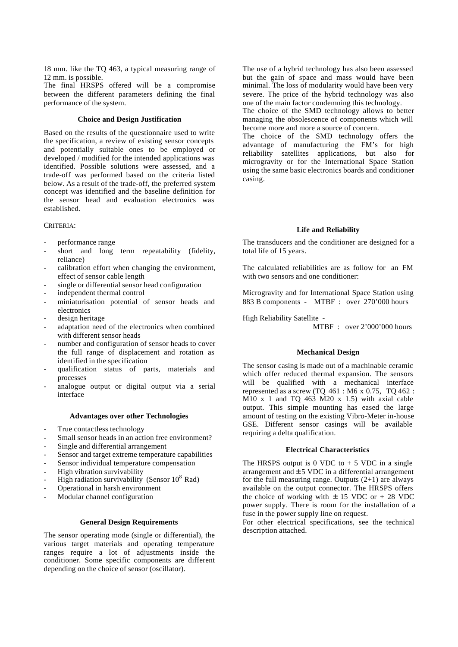18 mm. like the TQ 463, a typical measuring range of 12 mm. is possible.

The final HRSPS offered will be a compromise between the different parameters defining the final performance of the system.

#### **Choice and Design Justification**

Based on the results of the questionnaire used to write the specification, a review of existing sensor concepts and potentially suitable ones to be employed or developed / modified for the intended applications was identified. Possible solutions were assessed, and a trade-off was performed based on the criteria listed below. As a result of the trade-off, the preferred system concept was identified and the baseline definition for the sensor head and evaluation electronics was established.

#### CRITERIA:

- performance range
- short and long term repeatability (fidelity, reliance)
- calibration effort when changing the environment, effect of sensor cable length
- single or differential sensor head configuration
- independent thermal control
- miniaturisation potential of sensor heads and electronics
- design heritage
- adaptation need of the electronics when combined with different sensor heads
- number and configuration of sensor heads to cover the full range of displacement and rotation as identified in the specification
- qualification status of parts, materials and processes
- analogue output or digital output via a serial interface

#### **Advantages over other Technologies**

- True contactless technology
- Small sensor heads in an action free environment?
- Single and differential arrangement
- Sensor and target extreme temperature capabilities
- Sensor individual temperature compensation
- High vibration survivability
- High radiation survivability (Sensor  $10^8$  Rad)
- Operational in harsh environment
- Modular channel configuration

#### **General Design Requirements**

The sensor operating mode (single or differential), the various target materials and operating temperature ranges require a lot of adjustments inside the conditioner. Some specific components are different depending on the choice of sensor (oscillator).

The use of a hybrid technology has also been assessed but the gain of space and mass would have been minimal. The loss of modularity would have been very severe. The price of the hybrid technology was also one of the main factor condemning this technology.

The choice of the SMD technology allows to better managing the obsolescence of components which will become more and more a source of concern.

The choice of the SMD technology offers the advantage of manufacturing the FM's for high reliability satellites applications, but also for microgravity or for the International Space Station using the same basic electronics boards and conditioner casing.

#### **Life and Reliability**

The transducers and the conditioner are designed for a total life of 15 years.

The calculated reliabilities are as follow for an FM with two sensors and one conditioner:

Microgravity and for International Space Station using 883 B components - MTBF : over 270'000 hours

High Reliability Satellite -

MTBF : over 2'000'000 hours

#### **Mechanical Design**

The sensor casing is made out of a machinable ceramic which offer reduced thermal expansion. The sensors will be qualified with a mechanical interface represented as a screw (TQ  $461$  : M6 x 0.75, TQ  $462$  :  $\overline{M10}$  x 1 and TQ 463 M20 x 1.5) with axial cable output. This simple mounting has eased the large amount of testing on the existing Vibro-Meter in-house GSE. Different sensor casings will be available requiring a delta qualification.

#### **Electrical Characteristics**

The HRSPS output is 0 VDC to  $+5$  VDC in a single arrangement and  $\pm$  5 VDC in a differential arrangement for the full measuring range. Outputs  $(2+1)$  are always available on the output connector. The HRSPS offers the choice of working with  $\pm$  15 VDC or + 28 VDC power supply. There is room for the installation of a fuse in the power supply line on request.

For other electrical specifications, see the technical description attached.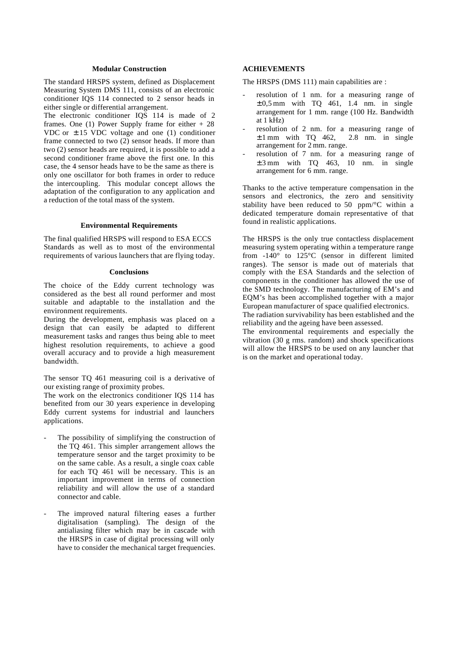#### **Modular Construction**

The standard HRSPS system, defined as Displacement Measuring System DMS 111, consists of an electronic conditioner IQS 114 connected to 2 sensor heads in either single or differential arrangement.

The electronic conditioner IQS 114 is made of 2 frames. One (1) Power Supply frame for either + 28 VDC or  $\pm$  15 VDC voltage and one (1) conditioner frame connected to two (2) sensor heads. If more than two (2) sensor heads are required, it is possible to add a second conditioner frame above the first one. In this case, the 4 sensor heads have to be the same as there is only one oscillator for both frames in order to reduce the intercoupling. This modular concept allows the adaptation of the configuration to any application and a reduction of the total mass of the system.

#### **Environmental Requirements**

The final qualified HRSPS will respond to ESA ECCS Standards as well as to most of the environmental requirements of various launchers that are flying today.

#### **Conclusions**

The choice of the Eddy current technology was considered as the best all round performer and most suitable and adaptable to the installation and the environment requirements.

During the development, emphasis was placed on a design that can easily be adapted to different measurement tasks and ranges thus being able to meet highest resolution requirements, to achieve a good overall accuracy and to provide a high measurement bandwidth.

The sensor TQ 461 measuring coil is a derivative of our existing range of proximity probes.

The work on the electronics conditioner IQS 114 has benefited from our 30 years experience in developing Eddy current systems for industrial and launchers applications.

- The possibility of simplifying the construction of the TQ 461. This simpler arrangement allows the temperature sensor and the target proximity to be on the same cable. As a result, a single coax cable for each TQ 461 will be necessary. This is an important improvement in terms of connection reliability and will allow the use of a standard connector and cable.
- The improved natural filtering eases a further digitalisation (sampling). The design of the antialiasing filter which may be in cascade with the HRSPS in case of digital processing will only have to consider the mechanical target frequencies.

#### **ACHIEVEMENTS**

The HRSPS (DMS 111) main capabilities are :

- resolution of 1 nm. for a measuring range of  $\pm 0.5$  mm with TQ 461, 1.4 nm. in single arrangement for 1 mm. range (100 Hz. Bandwidth at 1 kHz)
- resolution of 2 nm. for a measuring range of  $\pm$  1 mm with TQ 462, 2.8 nm. in single arrangement for 2 mm. range.
- resolution of 7 nm. for a measuring range of  $\pm 3$  mm with TQ 463, 10 nm. in single arrangement for 6 mm. range.

Thanks to the active temperature compensation in the sensors and electronics, the zero and sensitivity stability have been reduced to 50 ppm/°C within a dedicated temperature domain representative of that found in realistic applications.

The HRSPS is the only true contactless displacement measuring system operating within a temperature range from -140° to 125°C (sensor in different limited ranges). The sensor is made out of materials that comply with the ESA Standards and the selection of components in the conditioner has allowed the use of the SMD technology. The manufacturing of EM's and EQM's has been accomplished together with a major European manufacturer of space qualified electronics.

The radiation survivability has been established and the reliability and the ageing have been assessed.

The environmental requirements and especially the vibration (30 g rms. random) and shock specifications will allow the HRSPS to be used on any launcher that is on the market and operational today.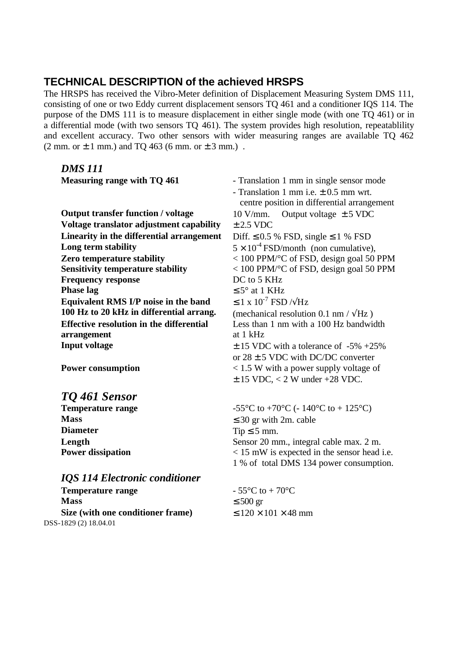# **TECHNICAL DESCRIPTION of the achieved HRSPS**

The HRSPS has received the Vibro-Meter definition of Displacement Measuring System DMS 111, consisting of one or two Eddy current displacement sensors TQ 461 and a conditioner IQS 114. The purpose of the DMS 111 is to measure displacement in either single mode (with one TQ 461) or in a differential mode (with two sensors TQ 461). The system provides high resolution, repeatablility and excellent accuracy. Two other sensors with wider measuring ranges are available TQ 462  $(2 \text{ mm. or } \pm 1 \text{ mm.})$  and TQ 463 (6 mm. or  $\pm 3 \text{ mm.})$ .

### *DMS 111*

| Measuring range with TQ 461                     | - Translation 1 mm in single sensor mode<br>- Translation 1 mm i.e. $\pm$ 0.5 mm wrt.<br>centre position in differential arrangement |  |  |
|-------------------------------------------------|--------------------------------------------------------------------------------------------------------------------------------------|--|--|
| <b>Output transfer function / voltage</b>       | Output voltage $\pm$ 5 VDC<br>$10 \text{ V/mm}$ .                                                                                    |  |  |
| Voltage translator adjustment capability        | $\pm$ 2.5 VDC                                                                                                                        |  |  |
| Linearity in the differential arrangement       | Diff. $\leq 0.5$ % FSD, single $\leq 1$ % FSD                                                                                        |  |  |
| Long term stability                             | $5 \times 10^{-4}$ FSD/month (non cumulative),                                                                                       |  |  |
| <b>Zero temperature stability</b>               | $<$ 100 PPM/ <sup>o</sup> C of FSD, design goal 50 PPM                                                                               |  |  |
| <b>Sensitivity temperature stability</b>        | $<$ 100 PPM/ <sup>o</sup> C of FSD, design goal 50 PPM                                                                               |  |  |
| <b>Frequency response</b>                       | DC to 5 KHz                                                                                                                          |  |  |
| <b>Phase lag</b>                                | $\leq 5^{\circ}$ at 1 KHz                                                                                                            |  |  |
| Equivalent RMS I/P noise in the band            | $\leq$ 1 x 10 <sup>-7</sup> FSD $/\sqrt{Hz}$                                                                                         |  |  |
| 100 Hz to 20 kHz in differential arrang.        | (mechanical resolution 0.1 nm / $\sqrt{Hz}$ )                                                                                        |  |  |
| <b>Effective resolution in the differential</b> | Less than 1 nm with a 100 Hz bandwidth                                                                                               |  |  |
| arrangement                                     | at 1 kHz                                                                                                                             |  |  |
| <b>Input voltage</b>                            | $\pm$ 15 VDC with a tolerance of -5% +25%                                                                                            |  |  |
|                                                 | or $28 \pm 5$ VDC with DC/DC converter                                                                                               |  |  |
| <b>Power consumption</b>                        | $<$ 1.5 W with a power supply voltage of                                                                                             |  |  |
|                                                 | $\pm$ 15 VDC, < 2 W under +28 VDC.                                                                                                   |  |  |

# *TQ 461 Sensor*

| <b>Temperature range</b> |
|--------------------------|
| <b>Mass</b>              |
| <b>Diameter</b>          |
| Length                   |
| <b>Power dissipation</b> |

### *IQS 114 Electronic conditioner*

```
Temperature range -55^{\circ}\text{C} to +70^{\circ}\text{C}Mass \leq 500 gr
   Size (with one conditioner frame) \leq 120 \times 101 \times 48 mm
DSS-1829 (2) 18.04.01
```
 $-55^{\circ}$ C to  $+70^{\circ}$ C (- 140°C to  $+125^{\circ}$ C)  $\leq$  30 gr with 2m. cable  $Tip \leq 5$  mm. Sensor 20 mm., integral cable max. 2 m. **Power dissipation** < 15 mW is expected in the sensor head i.e. 1 % of total DMS 134 power consumption.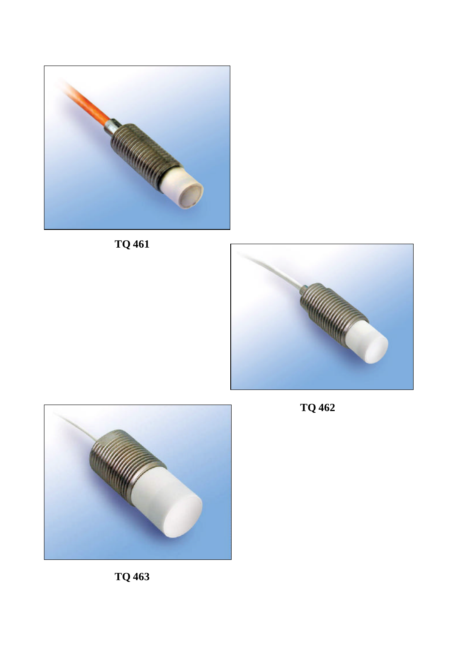







**TQ 462**

**TQ 463**